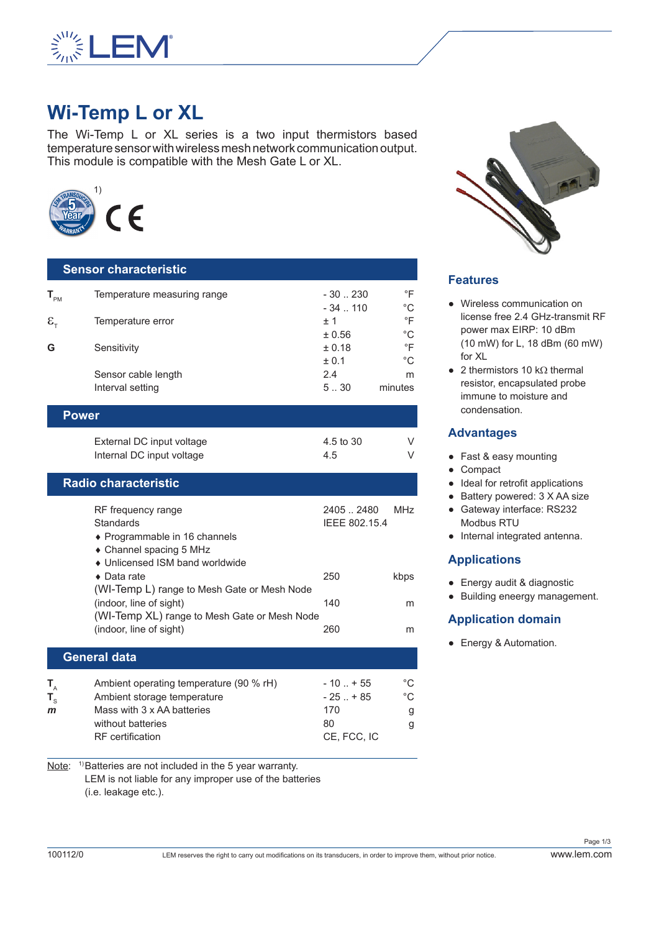

# **Wi-Temp L or XL**

The Wi-Temp L or XL series is a two input thermistors based temperature sensor with wireless mesh network communication output. This module is compatible with the Mesh Gate L or XL.



# **Sensor characteristic**  $T_{PM}$  Temperature measuring range  $T_{PM}$  - 30 .. 230  $\degree$ F<br>- 34 .. 110  $\degree$ C  $-34$  .. 110  $^{\circ}$ C<br>+ 1  $^{\circ}$ F  $\mathcal{E}_{T}$  Temperature error  $\pm 1$   $\text{ }^{\circ}$ F<br> $\pm 0.56$   $\text{ }^{\circ}$ C  $\pm 0.56$  °C<br>+ 0.18 °F **G** Sensitivity  $\pm 0.18$  $+0.1$   $\degree$ C Sensor cable length 2.4 m Interval setting and the setting the setting setting setting and setting setting setting setting set of  $5.30$  minutes

| Power                     |           |  |  |
|---------------------------|-----------|--|--|
| External DC input voltage | 4.5 to 30 |  |  |
| Internal DC input voltage | 4.5       |  |  |

#### **Radio characteristic**

| RF frequency range<br>Standards<br>♦ Programmable in 16 channels | 2405.2480<br>IEEE 802.15.4 | MH <sub>7</sub> |
|------------------------------------------------------------------|----------------------------|-----------------|
| • Channel spacing 5 MHz                                          |                            |                 |
| • Unlicensed ISM band worldwide                                  |                            |                 |
| $\bullet$ Data rate                                              | 250                        | kbps            |
| (WI-Temp L) range to Mesh Gate or Mesh Node                      |                            |                 |
| (indoor, line of sight)                                          | 140                        | m               |
| (WI-Temp XL) range to Mesh Gate or Mesh Node                     |                            |                 |
| (indoor, line of sight)                                          | 260                        | m               |
| <b>General data</b>                                              |                            |                 |
|                                                                  |                            |                 |

| Ambient operating temperature (90 % rH) | $-10$ $+55$ | °C |
|-----------------------------------------|-------------|----|
| Ambient storage temperature             | $-25$ $+85$ | °C |
| Mass with 3 x AA batteries              | 170         | g  |
| without batteries                       | 80          |    |
| <b>RF</b> certification                 | CE. FCC. IC |    |
|                                         |             |    |

Note: <sup>1)</sup>Batteries are not included in the 5 year warranty. LEM is not liable for any improper use of the batteries (i.e. leakage etc.).



## **Features**

- Wireless communication on license free 2.4 GHz-transmit RF power max EIRP: 10 dBm (10 mW) for L, 18 dBm (60 mW) for XL
- $\bullet$  2 thermistors 10 kΩ thermal resistor, encapsulated probe immune to moisture and condensation.

### **Advantages**

- Fast & easy mounting
- Compact
- Ideal for retrofit applications
- Battery powered: 3 X AA size
- Gateway interface: RS232 Modbus RTU
- Internal integrated antenna.

## **Applications**

- Energy audit & diagnostic
- Building eneergy management.

## **Application domain**

● Energy & Automation.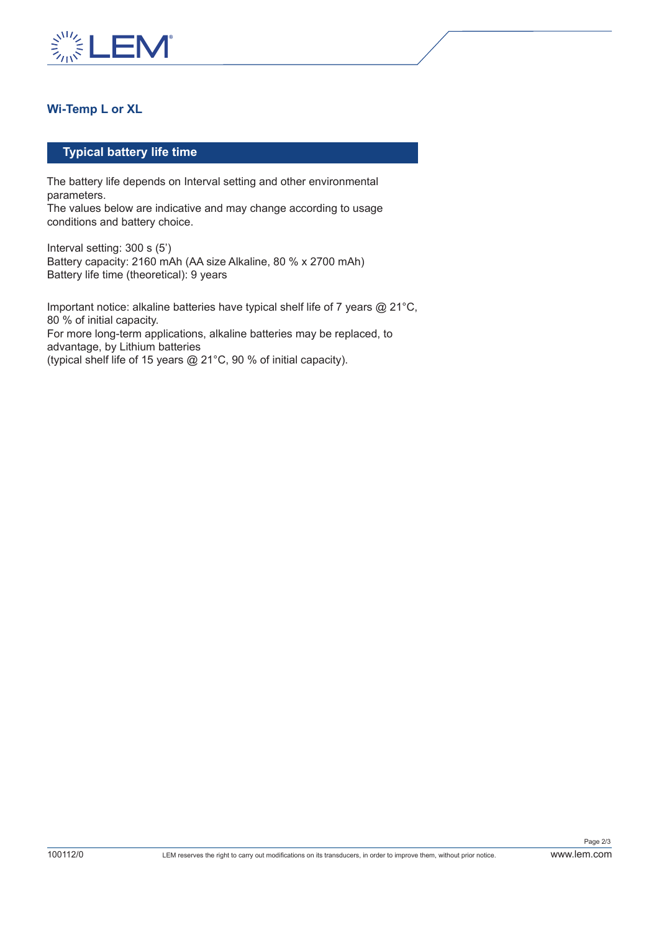

## **Wi-Temp L or XL**

#### **Typical battery life time**

The battery life depends on Interval setting and other environmental parameters.

The values below are indicative and may change according to usage conditions and battery choice.

Interval setting: 300 s (5') Battery capacity: 2160 mAh (AA size Alkaline, 80 % x 2700 mAh) Battery life time (theoretical): 9 years

Important notice: alkaline batteries have typical shelf life of 7 years @ 21°C, 80 % of initial capacity. For more long-term applications, alkaline batteries may be replaced, to advantage, by Lithium batteries (typical shelf life of 15 years @ 21°C, 90 % of initial capacity).